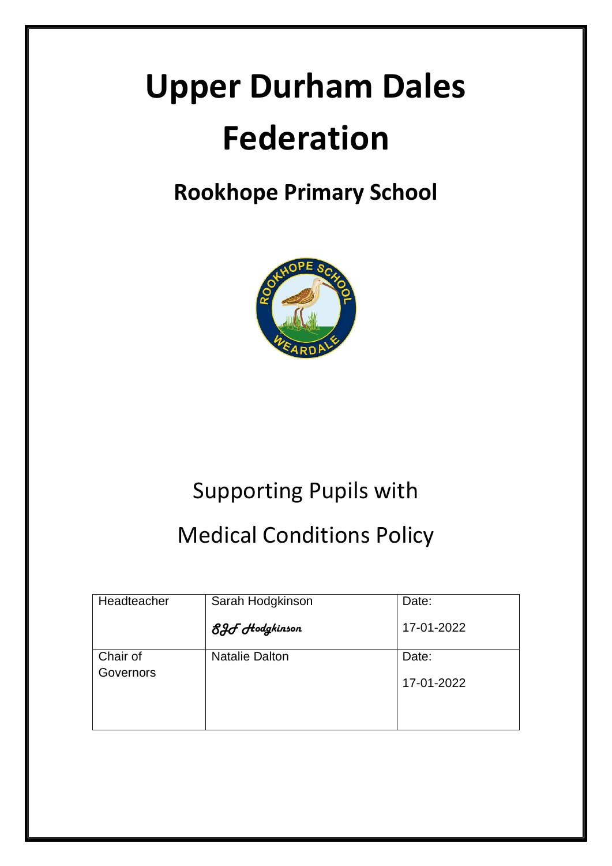# **Upper Durham Dales Federation**

# **Rookhope Primary School**



# Supporting Pupils with

# Medical Conditions Policy

| Headteacher | Sarah Hodgkinson      | Date:      |
|-------------|-----------------------|------------|
|             | 8.Hodgkinson          | 17-01-2022 |
| Chair of    | <b>Natalie Dalton</b> | Date:      |
| Governors   |                       | 17-01-2022 |
|             |                       |            |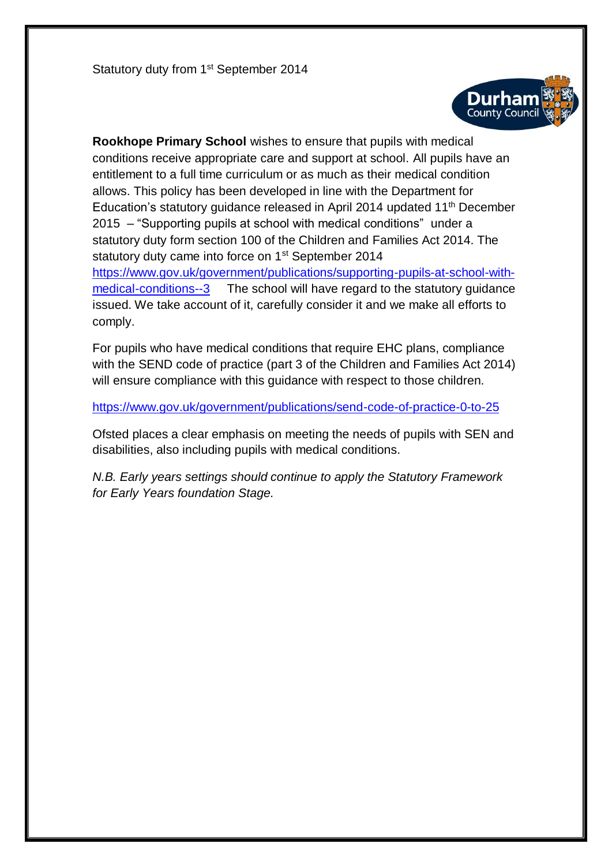Statutory duty from 1<sup>st</sup> September 2014



**Rookhope Primary School** wishes to ensure that pupils with medical conditions receive appropriate care and support at school. All pupils have an entitlement to a full time curriculum or as much as their medical condition allows. This policy has been developed in line with the Department for Education's statutory guidance released in April 2014 updated 11<sup>th</sup> December 2015 – "Supporting pupils at school with medical conditions" under a statutory duty form section 100 of the Children and Families Act 2014. The statutory duty came into force on 1<sup>st</sup> September 2014 [https://www.gov.uk/government/publications/supporting-pupils-at-school-with](https://www.gov.uk/government/publications/supporting-pupils-at-school-with-medical-conditions--3)[medical-conditions--3](https://www.gov.uk/government/publications/supporting-pupils-at-school-with-medical-conditions--3) The school will have regard to the statutory guidance issued. We take account of it, carefully consider it and we make all efforts to comply.

For pupils who have medical conditions that require EHC plans, compliance with the SEND code of practice (part 3 of the Children and Families Act 2014) will ensure compliance with this guidance with respect to those children.

<https://www.gov.uk/government/publications/send-code-of-practice-0-to-25>

Ofsted places a clear emphasis on meeting the needs of pupils with SEN and disabilities, also including pupils with medical conditions.

*N.B. Early years settings should continue to apply the Statutory Framework for Early Years foundation Stage.*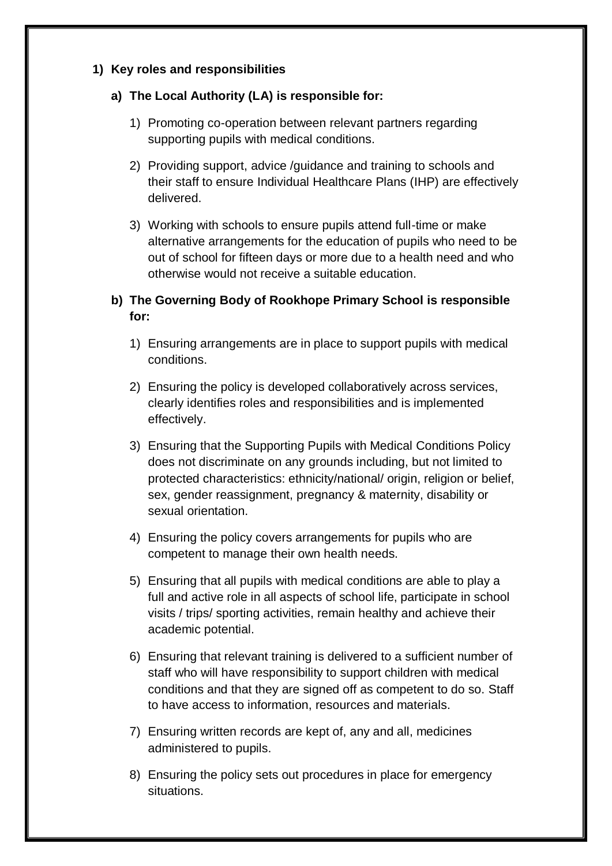#### **1) Key roles and responsibilities**

#### **a) The Local Authority (LA) is responsible for:**

- 1) Promoting co-operation between relevant partners regarding supporting pupils with medical conditions.
- 2) Providing support, advice /guidance and training to schools and their staff to ensure Individual Healthcare Plans (IHP) are effectively delivered.
- 3) Working with schools to ensure pupils attend full-time or make alternative arrangements for the education of pupils who need to be out of school for fifteen days or more due to a health need and who otherwise would not receive a suitable education.

# **b) The Governing Body of Rookhope Primary School is responsible for:**

- 1) Ensuring arrangements are in place to support pupils with medical conditions.
- 2) Ensuring the policy is developed collaboratively across services, clearly identifies roles and responsibilities and is implemented effectively.
- 3) Ensuring that the Supporting Pupils with Medical Conditions Policy does not discriminate on any grounds including, but not limited to protected characteristics: ethnicity/national/ origin, religion or belief, sex, gender reassignment, pregnancy & maternity, disability or sexual orientation.
- 4) Ensuring the policy covers arrangements for pupils who are competent to manage their own health needs.
- 5) Ensuring that all pupils with medical conditions are able to play a full and active role in all aspects of school life, participate in school visits / trips/ sporting activities, remain healthy and achieve their academic potential.
- 6) Ensuring that relevant training is delivered to a sufficient number of staff who will have responsibility to support children with medical conditions and that they are signed off as competent to do so. Staff to have access to information, resources and materials.
- 7) Ensuring written records are kept of, any and all, medicines administered to pupils.
- 8) Ensuring the policy sets out procedures in place for emergency situations.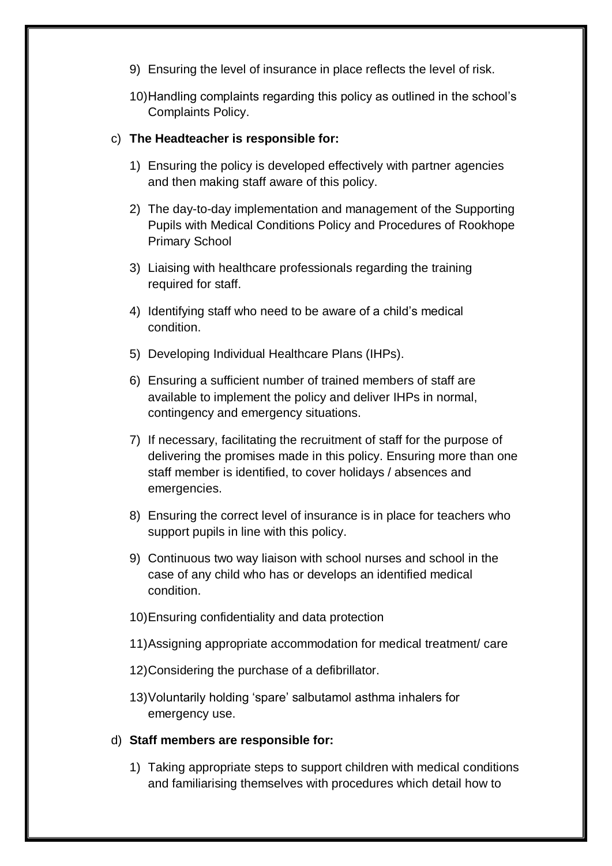- 9) Ensuring the level of insurance in place reflects the level of risk.
- 10)Handling complaints regarding this policy as outlined in the school's Complaints Policy.

#### c) **The Headteacher is responsible for:**

- 1) Ensuring the policy is developed effectively with partner agencies and then making staff aware of this policy.
- 2) The day-to-day implementation and management of the Supporting Pupils with Medical Conditions Policy and Procedures of Rookhope Primary School
- 3) Liaising with healthcare professionals regarding the training required for staff.
- 4) Identifying staff who need to be aware of a child's medical condition.
- 5) Developing Individual Healthcare Plans (IHPs).
- 6) Ensuring a sufficient number of trained members of staff are available to implement the policy and deliver IHPs in normal, contingency and emergency situations.
- 7) If necessary, facilitating the recruitment of staff for the purpose of delivering the promises made in this policy. Ensuring more than one staff member is identified, to cover holidays / absences and emergencies.
- 8) Ensuring the correct level of insurance is in place for teachers who support pupils in line with this policy.
- 9) Continuous two way liaison with school nurses and school in the case of any child who has or develops an identified medical condition.
- 10)Ensuring confidentiality and data protection
- 11)Assigning appropriate accommodation for medical treatment/ care
- 12)Considering the purchase of a defibrillator.
- 13)Voluntarily holding 'spare' salbutamol asthma inhalers for emergency use.
- d) **Staff members are responsible for:**
	- 1) Taking appropriate steps to support children with medical conditions and familiarising themselves with procedures which detail how to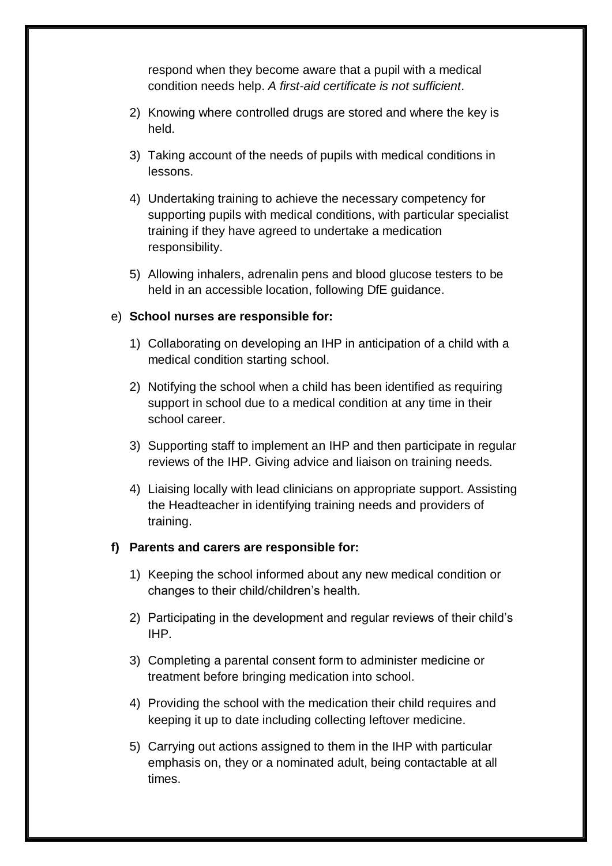respond when they become aware that a pupil with a medical condition needs help. *A first-aid certificate is not sufficient*.

- 2) Knowing where controlled drugs are stored and where the key is held.
- 3) Taking account of the needs of pupils with medical conditions in lessons.
- 4) Undertaking training to achieve the necessary competency for supporting pupils with medical conditions, with particular specialist training if they have agreed to undertake a medication responsibility.
- 5) Allowing inhalers, adrenalin pens and blood glucose testers to be held in an accessible location, following DfE guidance.

#### e) **School nurses are responsible for:**

- 1) Collaborating on developing an IHP in anticipation of a child with a medical condition starting school.
- 2) Notifying the school when a child has been identified as requiring support in school due to a medical condition at any time in their school career.
- 3) Supporting staff to implement an IHP and then participate in regular reviews of the IHP. Giving advice and liaison on training needs.
- 4) Liaising locally with lead clinicians on appropriate support. Assisting the Headteacher in identifying training needs and providers of training.

#### **f) Parents and carers are responsible for:**

- 1) Keeping the school informed about any new medical condition or changes to their child/children's health.
- 2) Participating in the development and regular reviews of their child's IHP.
- 3) Completing a parental consent form to administer medicine or treatment before bringing medication into school.
- 4) Providing the school with the medication their child requires and keeping it up to date including collecting leftover medicine.
- 5) Carrying out actions assigned to them in the IHP with particular emphasis on, they or a nominated adult, being contactable at all times.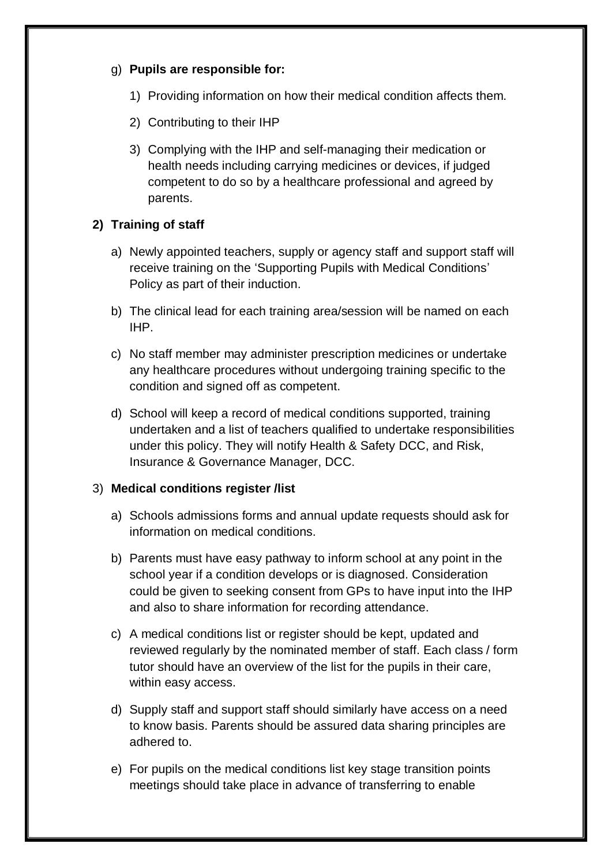#### g) **Pupils are responsible for:**

- 1) Providing information on how their medical condition affects them.
- 2) Contributing to their IHP
- 3) Complying with the IHP and self-managing their medication or health needs including carrying medicines or devices, if judged competent to do so by a healthcare professional and agreed by parents.

# **2) Training of staff**

- a) Newly appointed teachers, supply or agency staff and support staff will receive training on the 'Supporting Pupils with Medical Conditions' Policy as part of their induction.
- b) The clinical lead for each training area/session will be named on each IHP.
- c) No staff member may administer prescription medicines or undertake any healthcare procedures without undergoing training specific to the condition and signed off as competent.
- d) School will keep a record of medical conditions supported, training undertaken and a list of teachers qualified to undertake responsibilities under this policy. They will notify Health & Safety DCC, and Risk, Insurance & Governance Manager, DCC.

#### 3) **Medical conditions register /list**

- a) Schools admissions forms and annual update requests should ask for information on medical conditions.
- b) Parents must have easy pathway to inform school at any point in the school year if a condition develops or is diagnosed. Consideration could be given to seeking consent from GPs to have input into the IHP and also to share information for recording attendance.
- c) A medical conditions list or register should be kept, updated and reviewed regularly by the nominated member of staff. Each class / form tutor should have an overview of the list for the pupils in their care, within easy access.
- d) Supply staff and support staff should similarly have access on a need to know basis. Parents should be assured data sharing principles are adhered to.
- e) For pupils on the medical conditions list key stage transition points meetings should take place in advance of transferring to enable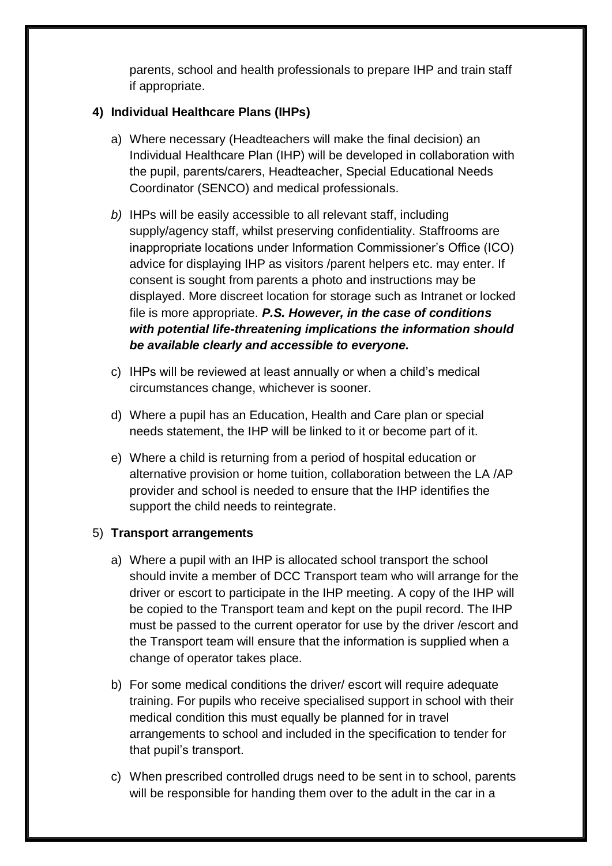parents, school and health professionals to prepare IHP and train staff if appropriate.

# **4) Individual Healthcare Plans (IHPs)**

- a) Where necessary (Headteachers will make the final decision) an Individual Healthcare Plan (IHP) will be developed in collaboration with the pupil, parents/carers, Headteacher, Special Educational Needs Coordinator (SENCO) and medical professionals.
- *b)* IHPs will be easily accessible to all relevant staff, including supply/agency staff, whilst preserving confidentiality. Staffrooms are inappropriate locations under Information Commissioner's Office (ICO) advice for displaying IHP as visitors /parent helpers etc. may enter. If consent is sought from parents a photo and instructions may be displayed. More discreet location for storage such as Intranet or locked file is more appropriate. *P.S. However, in the case of conditions with potential life-threatening implications the information should be available clearly and accessible to everyone.*
- c) IHPs will be reviewed at least annually or when a child's medical circumstances change, whichever is sooner.
- d) Where a pupil has an Education, Health and Care plan or special needs statement, the IHP will be linked to it or become part of it.
- e) Where a child is returning from a period of hospital education or alternative provision or home tuition, collaboration between the LA /AP provider and school is needed to ensure that the IHP identifies the support the child needs to reintegrate.

# 5) **Transport arrangements**

- a) Where a pupil with an IHP is allocated school transport the school should invite a member of DCC Transport team who will arrange for the driver or escort to participate in the IHP meeting. A copy of the IHP will be copied to the Transport team and kept on the pupil record. The IHP must be passed to the current operator for use by the driver /escort and the Transport team will ensure that the information is supplied when a change of operator takes place.
- b) For some medical conditions the driver/ escort will require adequate training. For pupils who receive specialised support in school with their medical condition this must equally be planned for in travel arrangements to school and included in the specification to tender for that pupil's transport.
- c) When prescribed controlled drugs need to be sent in to school, parents will be responsible for handing them over to the adult in the car in a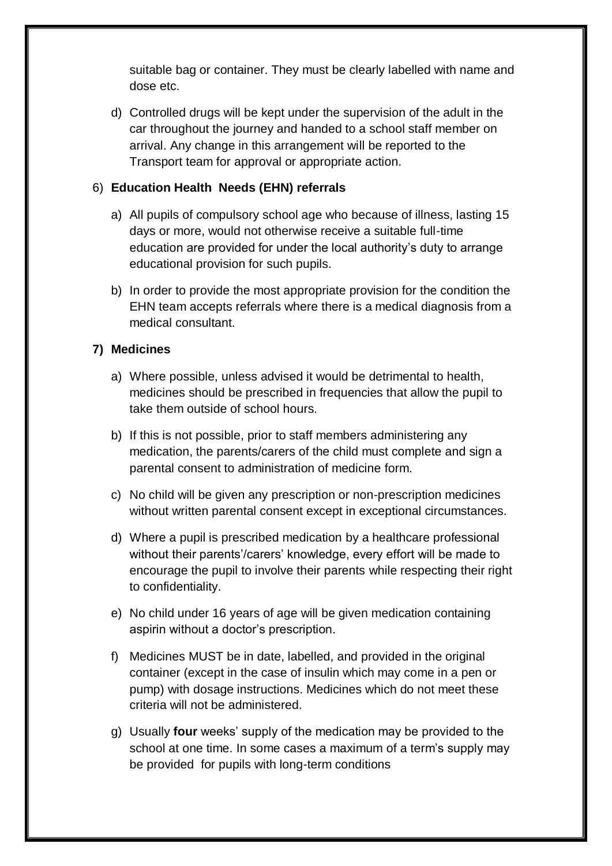suitable bag or container. They must be clearly labelled with name and dose etc.

d) Controlled drugs will be kept under the supervision of the adult in the car throughout the journey and handed to a school staff member on arrival. Any change in this arrangement will be reported to the Transport team for approval or appropriate action.

### 6) **Education Health Needs (EHN) referrals**

- a) All pupils of compulsory school age who because of illness, lasting 15 days or more, would not otherwise receive a suitable full-time education are provided for under the local authority's duty to arrange educational provision for such pupils.
- b) In order to provide the most appropriate provision for the condition the EHN team accepts referrals where there is a medical diagnosis from a medical consultant.

#### **7) Medicines**

- a) Where possible, unless advised it would be detrimental to health, medicines should be prescribed in frequencies that allow the pupil to take them outside of school hours.
- b) If this is not possible, prior to staff members administering any medication, the parents/carers of the child must complete and sign a parental consent to administration of medicine form.
- c) No child will be given any prescription or non-prescription medicines without written parental consent except in exceptional circumstances.
- d) Where a pupil is prescribed medication by a healthcare professional without their parents'/carers' knowledge, every effort will be made to encourage the pupil to involve their parents while respecting their right to confidentiality.
- e) No child under 16 years of age will be given medication containing aspirin without a doctor's prescription.
- f) Medicines MUST be in date, labelled, and provided in the original container (except in the case of insulin which may come in a pen or pump) with dosage instructions. Medicines which do not meet these criteria will not be administered.
- g) Usually **four** weeks' supply of the medication may be provided to the school at one time. In some cases a maximum of a term's supply may be provided for pupils with long-term conditions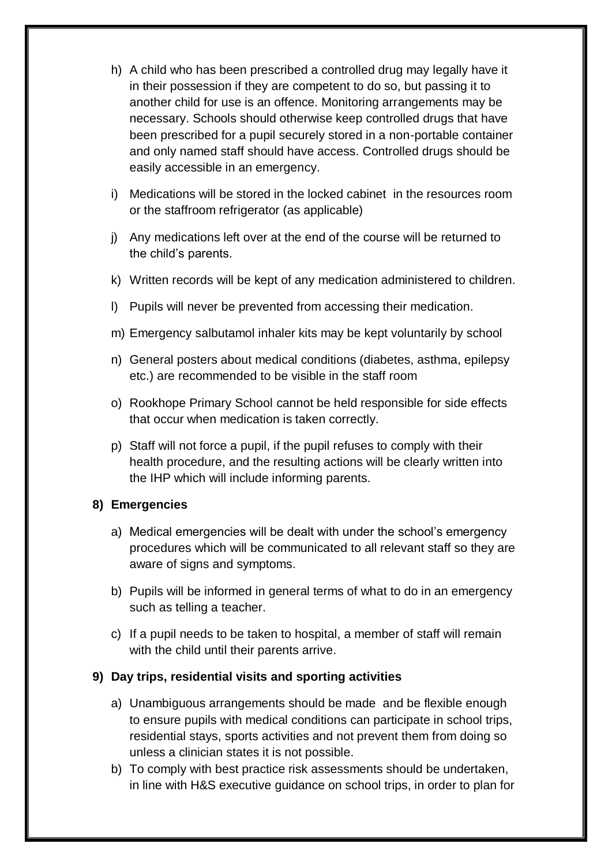- h) A child who has been prescribed a controlled drug may legally have it in their possession if they are competent to do so, but passing it to another child for use is an offence. Monitoring arrangements may be necessary. Schools should otherwise keep controlled drugs that have been prescribed for a pupil securely stored in a non-portable container and only named staff should have access. Controlled drugs should be easily accessible in an emergency.
- i) Medications will be stored in the locked cabinet in the resources room or the staffroom refrigerator (as applicable)
- j) Any medications left over at the end of the course will be returned to the child's parents.
- k) Written records will be kept of any medication administered to children.
- l) Pupils will never be prevented from accessing their medication.
- m) Emergency salbutamol inhaler kits may be kept voluntarily by school
- n) General posters about medical conditions (diabetes, asthma, epilepsy etc.) are recommended to be visible in the staff room
- o) Rookhope Primary School cannot be held responsible for side effects that occur when medication is taken correctly.
- p) Staff will not force a pupil, if the pupil refuses to comply with their health procedure, and the resulting actions will be clearly written into the IHP which will include informing parents.

# **8) Emergencies**

- a) Medical emergencies will be dealt with under the school's emergency procedures which will be communicated to all relevant staff so they are aware of signs and symptoms.
- b) Pupils will be informed in general terms of what to do in an emergency such as telling a teacher.
- c) If a pupil needs to be taken to hospital, a member of staff will remain with the child until their parents arrive.

# **9) Day trips, residential visits and sporting activities**

- a) Unambiguous arrangements should be made and be flexible enough to ensure pupils with medical conditions can participate in school trips, residential stays, sports activities and not prevent them from doing so unless a clinician states it is not possible.
- b) To comply with best practice risk assessments should be undertaken, in line with H&S executive guidance on school trips, in order to plan for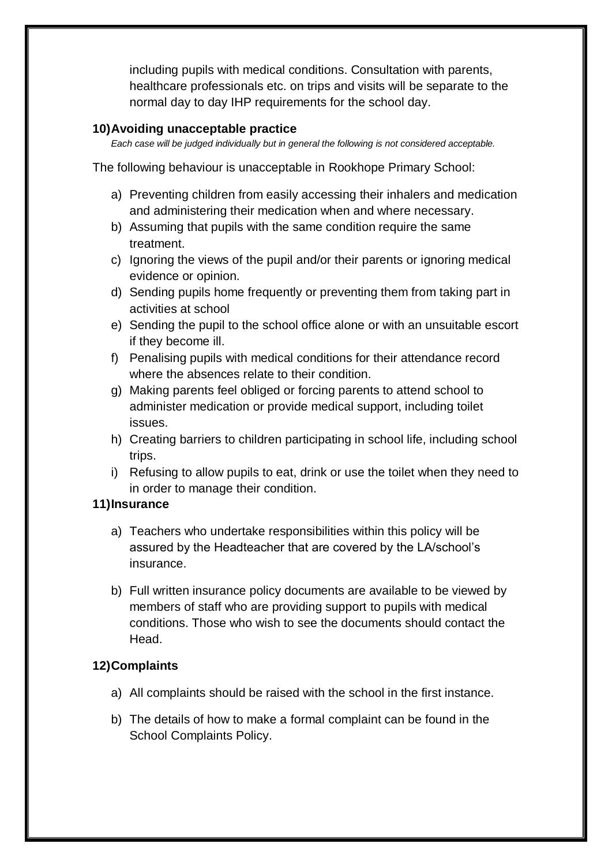including pupils with medical conditions. Consultation with parents, healthcare professionals etc. on trips and visits will be separate to the normal day to day IHP requirements for the school day.

#### **10)Avoiding unacceptable practice**

*Each case will be judged individually but in general the following is not considered acceptable.* 

The following behaviour is unacceptable in Rookhope Primary School:

- a) Preventing children from easily accessing their inhalers and medication and administering their medication when and where necessary.
- b) Assuming that pupils with the same condition require the same treatment.
- c) Ignoring the views of the pupil and/or their parents or ignoring medical evidence or opinion.
- d) Sending pupils home frequently or preventing them from taking part in activities at school
- e) Sending the pupil to the school office alone or with an unsuitable escort if they become ill.
- f) Penalising pupils with medical conditions for their attendance record where the absences relate to their condition.
- g) Making parents feel obliged or forcing parents to attend school to administer medication or provide medical support, including toilet issues.
- h) Creating barriers to children participating in school life, including school trips.
- i) Refusing to allow pupils to eat, drink or use the toilet when they need to in order to manage their condition.

#### **11)Insurance**

- a) Teachers who undertake responsibilities within this policy will be assured by the Headteacher that are covered by the LA/school's insurance.
- b) Full written insurance policy documents are available to be viewed by members of staff who are providing support to pupils with medical conditions. Those who wish to see the documents should contact the Head.

# **12)Complaints**

- a) All complaints should be raised with the school in the first instance.
- b) The details of how to make a formal complaint can be found in the School Complaints Policy.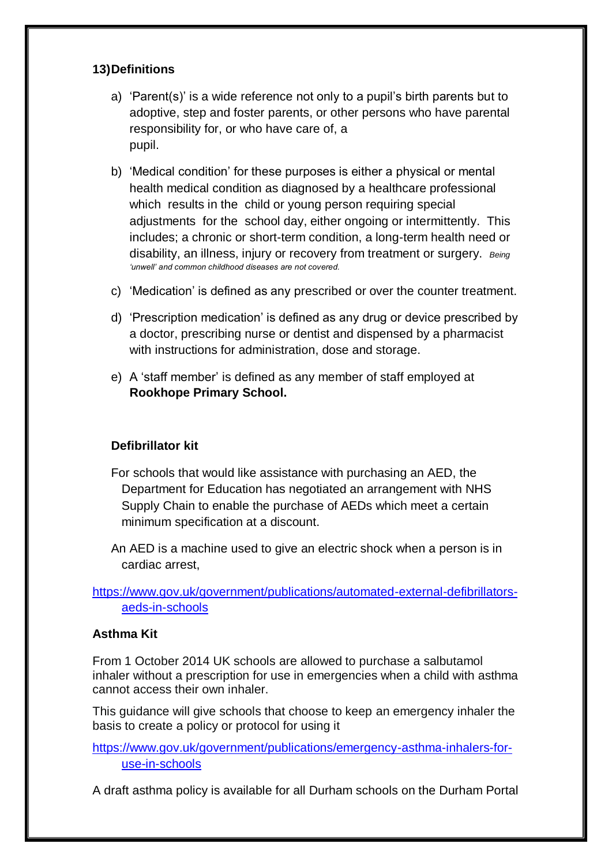### **13)Definitions**

- a) 'Parent(s)' is a wide reference not only to a pupil's birth parents but to adoptive, step and foster parents, or other persons who have parental responsibility for, or who have care of, a pupil.
- b) 'Medical condition' for these purposes is either a physical or mental health medical condition as diagnosed by a healthcare professional which results in the child or young person requiring special adjustments for the school day, either ongoing or intermittently. This includes; a chronic or short-term condition, a long-term health need or disability, an illness, injury or recovery from treatment or surgery. *Being 'unwell' and common childhood diseases are not covered.*
- c) 'Medication' is defined as any prescribed or over the counter treatment.
- d) 'Prescription medication' is defined as any drug or device prescribed by a doctor, prescribing nurse or dentist and dispensed by a pharmacist with instructions for administration, dose and storage.
- e) A 'staff member' is defined as any member of staff employed at **Rookhope Primary School.**

# **Defibrillator kit**

- For schools that would like assistance with purchasing an AED, the Department for Education has negotiated an arrangement with NHS Supply Chain to enable the purchase of AEDs which meet a certain minimum specification at a discount.
- An AED is a machine used to give an electric shock when a person is in cardiac arrest,

# [https://www.gov.uk/government/publications/automated-external-defibrillators](https://www.gov.uk/government/publications/automated-external-defibrillators-aeds-in-schools)[aeds-in-schools](https://www.gov.uk/government/publications/automated-external-defibrillators-aeds-in-schools)

#### **Asthma Kit**

From 1 October 2014 UK schools are allowed to purchase a salbutamol inhaler without a prescription for use in emergencies when a child with asthma cannot access their own inhaler.

This guidance will give schools that choose to keep an emergency inhaler the basis to create a policy or protocol for using it

[https://www.gov.uk/government/publications/emergency-asthma-inhalers-for](https://www.gov.uk/government/publications/emergency-asthma-inhalers-for-use-in-schools)[use-in-schools](https://www.gov.uk/government/publications/emergency-asthma-inhalers-for-use-in-schools)

A draft asthma policy is available for all Durham schools on the Durham Portal